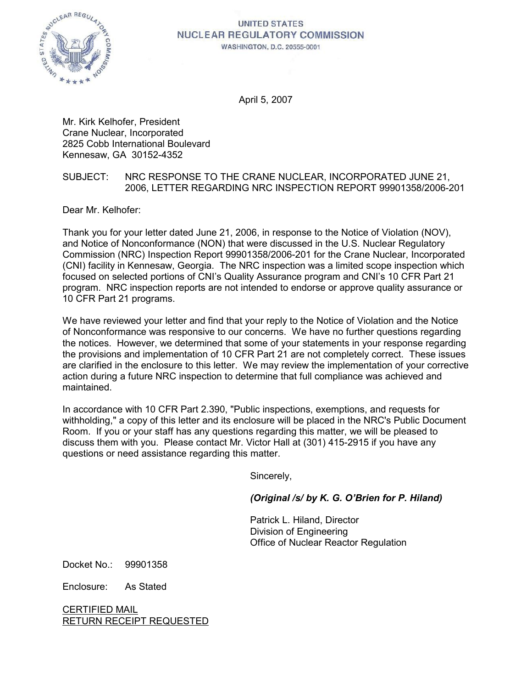

# **UNITED STATES NUCLEAR REGULATORY COMMISSION**

**WASHINGTON, D.C. 20555-0001** 

April 5, 2007

Mr. Kirk Kelhofer, President Crane Nuclear, Incorporated 2825 Cobb International Boulevard Kennesaw, GA 30152-4352

### SUBJECT: NRC RESPONSE TO THE CRANE NUCLEAR, INCORPORATED JUNE 21, 2006, LETTER REGARDING NRC INSPECTION REPORT 99901358/2006-201

Dear Mr. Kelhofer:

Thank you for your letter dated June 21, 2006, in response to the Notice of Violation (NOV), and Notice of Nonconformance (NON) that were discussed in the U.S. Nuclear Regulatory Commission (NRC) Inspection Report 99901358/2006-201 for the Crane Nuclear, Incorporated (CNI) facility in Kennesaw, Georgia. The NRC inspection was a limited scope inspection which focused on selected portions of CNI's Quality Assurance program and CNI's 10 CFR Part 21 program. NRC inspection reports are not intended to endorse or approve quality assurance or 10 CFR Part 21 programs.

We have reviewed your letter and find that your reply to the Notice of Violation and the Notice of Nonconformance was responsive to our concerns. We have no further questions regarding the notices. However, we determined that some of your statements in your response regarding the provisions and implementation of 10 CFR Part 21 are not completely correct. These issues are clarified in the enclosure to this letter. We may review the implementation of your corrective action during a future NRC inspection to determine that full compliance was achieved and maintained.

In accordance with 10 CFR Part 2.390, "Public inspections, exemptions, and requests for withholding," a copy of this letter and its enclosure will be placed in the NRC's Public Document Room. If you or your staff has any questions regarding this matter, we will be pleased to discuss them with you. Please contact Mr. Victor Hall at (301) 415-2915 if you have any questions or need assistance regarding this matter.

Sincerely,

*(Original /s/ by K. G. O'Brien for P. Hiland)*

Patrick L. Hiland, Director Division of Engineering Office of Nuclear Reactor Regulation

Docket No.: 99901358

Enclosure: As Stated

CERTIFIED MAIL RETURN RECEIPT REQUESTED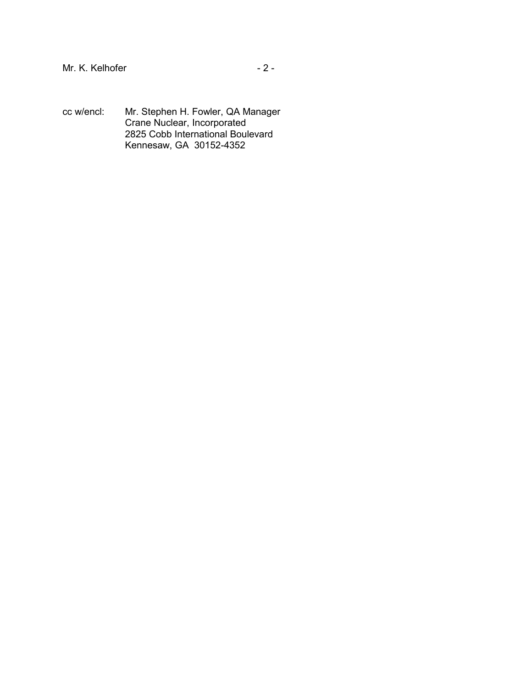- Mr. K. Kelhofer 2 -
- cc w/encl: Mr. Stephen H. Fowler, QA Manager Crane Nuclear, Incorporated 2825 Cobb International Boulevard Kennesaw, GA 30152-4352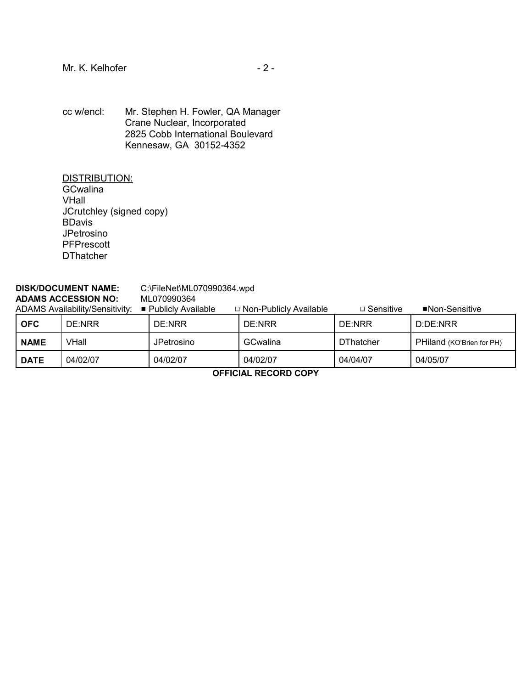cc w/encl: Mr. Stephen H. Fowler, QA Manager Crane Nuclear, Incorporated 2825 Cobb International Boulevard Kennesaw, GA 30152-4352

DISTRIBUTION: **GCwalina** VHall JCrutchley (signed copy) BDavis JPetrosino **PFPrescott DThatcher** 

### **DISK/DOCUMENT NAME:** C:\FileNet\ML070990364.wpd **ADAMS ACCESSION NO:** ML070990364

| <b>ADAMS Availability/Sensitivity:</b> |          | ■ Publicly Available | □ Non-Publicly Available | □ Sensitive | ■Non-Sensitive            |
|----------------------------------------|----------|----------------------|--------------------------|-------------|---------------------------|
| <b>OFC</b>                             | DE:NRR   | DE:NRR               | DE:NRR                   | DE:NRR      | D:DE:NRR                  |
| <b>NAME</b>                            | VHall    | JPetrosino           | GCwalina                 | DThatcher   | PHiland (KO'Brien for PH) |
| <b>DATE</b>                            | 04/02/07 | 04/02/07             | 04/02/07                 | 04/04/07    | 04/05/07                  |

**OFFICIAL RECORD COPY**